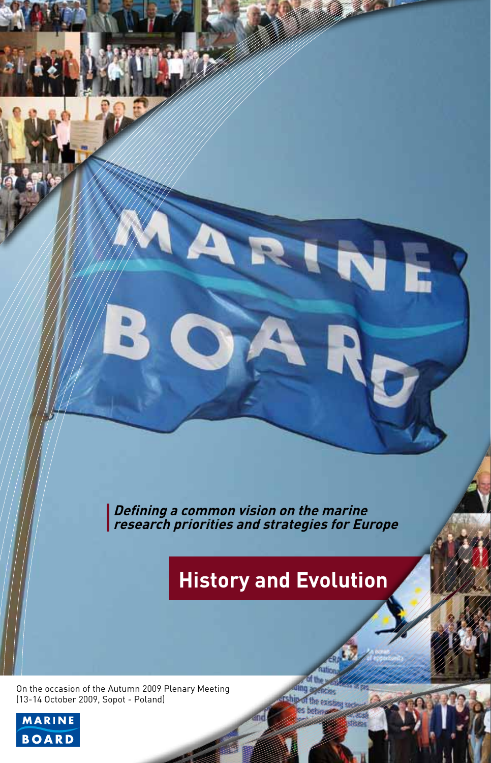**Defining a common vision on the marine research priorities and strategies for Europe**

A

# **History and Evolution**

On the occasion of the Autumn 2009 Plenary Meeting (13-14 October 2009, Sopot - Poland)

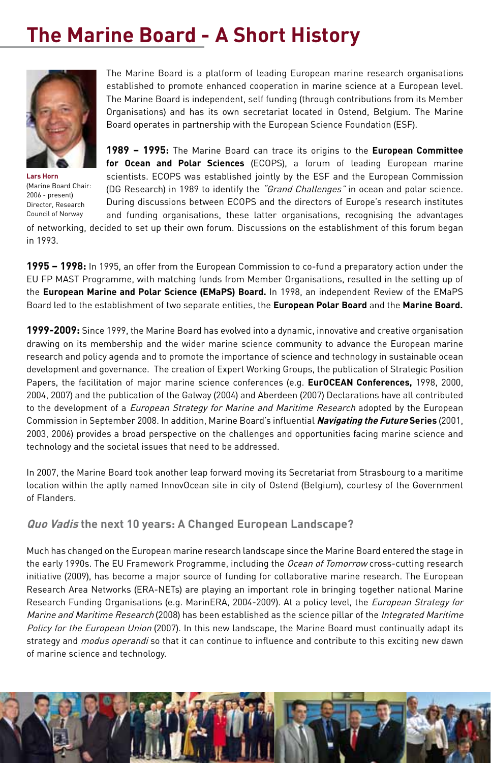## **The Marine Board - A Short History**



**Lars Horn**  (Marine Board Chair: 2006 - present) Director, Research Council of Norway

The Marine Board is a platform of leading European marine research organisations established to promote enhanced cooperation in marine science at a European level. The Marine Board is independent, self funding (through contributions from its Member Organisations) and has its own secretariat located in Ostend, Belgium. The Marine Board operates in partnership with the European Science Foundation (ESF).

**1989 – 1995:** The Marine Board can trace its origins to the **European Committee for Ocean and Polar Sciences** (ECOPS), a forum of leading European marine scientists. ECOPS was established jointly by the ESF and the European Commission (DG Research) in 1989 to identify the "Grand Challenges" in ocean and polar science. During discussions between ECOPS and the directors of Europe's research institutes and funding organisations, these latter organisations, recognising the advantages

of networking, decided to set up their own forum. Discussions on the establishment of this forum began in 1993.

**1995 – 1998:** In 1995, an offer from the European Commission to co-fund a preparatory action under the EU FP MAST Programme, with matching funds from Member Organisations, resulted in the setting up of the **European Marine and Polar Science** (**EMaPS**) **Board.** In 1998, an independent Review of the EMaPS Board led to the establishment of two separate entities, the **European Polar Board** and the **Marine Board.**

**1999-2009:** Since 1999, the Marine Board has evolved into a dynamic, innovative and creative organisation drawing on its membership and the wider marine science community to advance the European marine research and policy agenda and to promote the importance of science and technology in sustainable ocean development and governance. The creation of Expert Working Groups, the publication of Strategic Position Papers, the facilitation of major marine science conferences (e.g. **EurOCEAN Conferences,** 1998, 2000, 2004, 2007) and the publication of the Galway (2004) and Aberdeen (2007) Declarations have all contributed to the development of a European Strategy for Marine and Maritime Research adopted by the European Commission in September 2008. In addition, Marine Board's influential **Navigating the Future Series** (2001, 2003, 2006) provides a broad perspective on the challenges and opportunities facing marine science and technology and the societal issues that need to be addressed.

In 2007, the Marine Board took another leap forward moving its Secretariat from Strasbourg to a maritime location within the aptly named InnovOcean site in city of Ostend (Belgium), courtesy of the Government of Flanders.

**Quo Vadis the next 10 years: A Changed European Landscape?** 

Much has changed on the European marine research landscape since the Marine Board entered the stage in the early 1990s. The EU Framework Programme, including the Ocean of Tomorrow cross-cutting research initiative (2009), has become a major source of funding for collaborative marine research. The European Research Area Networks (ERA-NETs) are playing an important role in bringing together national Marine Research Funding Organisations (e.g. MarinERA, 2004-2009). At a policy level, the European Strategy for Marine and Maritime Research (2008) has been established as the science pillar of the Integrated Maritime Policy for the European Union (2007). In this new landscape, the Marine Board must continually adapt its strategy and *modus operandi* so that it can continue to influence and contribute to this exciting new dawn of marine science and technology.

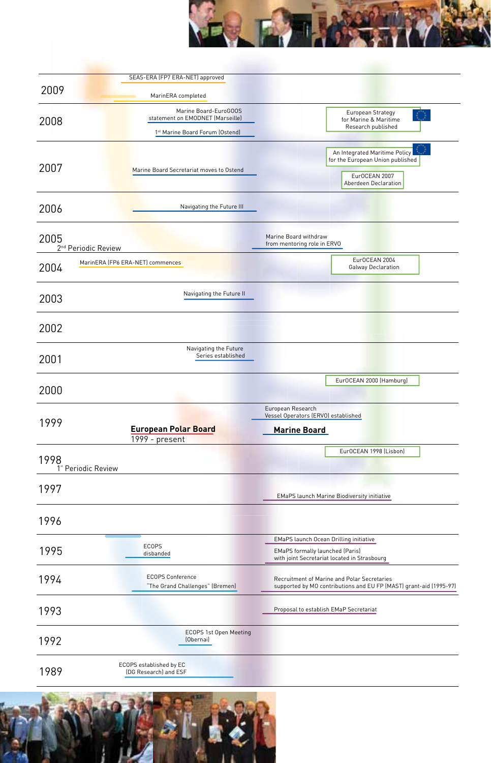

|      | SEAS-ERA (FP7 ERA-NET) approved                            |                                                                                                                           |
|------|------------------------------------------------------------|---------------------------------------------------------------------------------------------------------------------------|
| 2009 | MarinERA completed                                         |                                                                                                                           |
| 2008 | Marine Board-EuroGOOS<br>statement on EMODNET (Marseille)  | European Strategy<br>for Marine & Maritime                                                                                |
|      | 1st Marine Board Forum (Ostend)                            | Research published                                                                                                        |
| 2007 | Marine Board Secretariat moves to Ostend                   | An Integrated Maritime Policy<br>for the European Union published<br>EurOCEAN 2007<br>Aberdeen Declaration                |
| 2006 | Navigating the Future III                                  |                                                                                                                           |
| 2005 | 2 <sup>nd</sup> Periodic Review                            | Marine Board withdraw<br>from mentoring role in ERVO                                                                      |
| 2004 | MarinERA (FP6 ERA-NET) commences                           | EurOCEAN 2004<br>Galway Declaration                                                                                       |
| 2003 | Navigating the Future II                                   |                                                                                                                           |
| 2002 |                                                            |                                                                                                                           |
| 2001 | Navigating the Future<br>Series established                |                                                                                                                           |
| 2000 |                                                            | EurOCEAN 2000 (Hamburg)                                                                                                   |
| 1999 | <b>European Polar Board</b><br>1999 - present              | European Research<br>Vessel Operators (ERVO) established<br><u>Marine Board</u>                                           |
| 1998 | 1" Periodic Review                                         | EurOCEAN 1998 (Lisbon)                                                                                                    |
| 1997 |                                                            | EMaPS launch Marine Biodiversity initiative                                                                               |
| 1996 |                                                            |                                                                                                                           |
| 1995 | ECOPS<br>disbanded                                         | EMaPS launch Ocean Drilling initiative<br>EMaPS formally launched (Paris)<br>with joint Secretariat located in Strasbourg |
| 1994 | <b>ECOPS Conference</b><br>"The Grand Challenges" (Bremen) | Recruitment of Marine and Polar Secretaries<br>supported by MO contributions and EU FP (MAST) grant-aid (1995-97)         |
| 1993 |                                                            | Proposal to establish EMaP Secretariat                                                                                    |
| 1992 | ECOPS 1st Open Meeting<br>(Obernai)                        |                                                                                                                           |
| 1989 | ECOPS established by EC<br>(DG Research) and ESF           |                                                                                                                           |

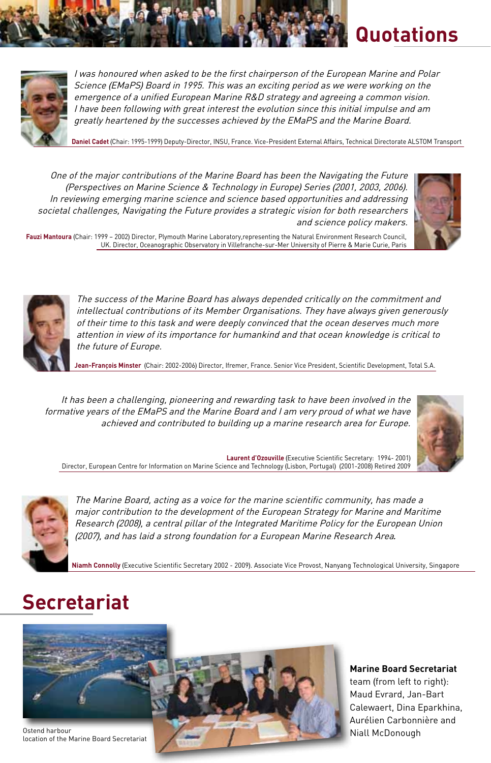

I was honoured when asked to be the first chairperson of the European Marine and Polar Science (EMaPS) Board in 1995. This was an exciting period as we were working on the emergence of a unified European Marine R&D strategy and agreeing a common vision. I have been following with great interest the evolution since this initial impulse and am greatly heartened by the successes achieved by the EMaPS and the Marine Board.

**Daniel Cadet** (Chair: 1995-1999) Deputy-Director, INSU, France. Vice-President External Affairs, Technical Directorate ALSTOM Transport

One of the major contributions of the Marine Board has been the Navigating the Future (Perspectives on Marine Science & Technology in Europe) Series (2001, 2003, 2006). In reviewing emerging marine science and science based opportunities and addressing societal challenges, Navigating the Future provides a strategic vision for both researchers and science policy makers.



**Quotations** 

**Fauzi Mantoura** (Chair: 1999 – 2002) Director, Plymouth Marine Laboratory,representing the Natural Environment Research Council, UK. Director, Oceanographic Observatory in Villefranche-sur-Mer University of Pierre & Marie Curie, Paris



The success of the Marine Board has always depended critically on the commitment and intellectual contributions of its Member Organisations. They have always given generously of their time to this task and were deeply convinced that the ocean deserves much more attention in view of its importance for humankind and that ocean knowledge is critical to the future of Europe.

**Jean-François Minster** (Chair: 2002-2006) Director, Ifremer, France. Senior Vice President, Scientific Development, Total S.A.

It has been a challenging, pioneering and rewarding task to have been involved in the formative years of the EMaPS and the Marine Board and I am very proud of what we have achieved and contributed to building up a marine research area for Europe.



**Laurent d'Ozouville** (Executive Scientific Secretary: 1994- 2001) Director, European Centre for Information on Marine Science and Technology (Lisbon, Portugal) (2001-2008) Retired 2009



The Marine Board, acting as a voice for the marine scientific community, has made a major contribution to the development of the European Strategy for Marine and Maritime Research (2008), a central pillar of the Integrated Maritime Policy for the European Union (2007), and has laid a strong foundation for a European Marine Research Area*.* 

**Niamh Connolly** (Executive Scientific Secretary 2002 - 2009). Associate Vice Provost, Nanyang Technological University, Singapore

## **Secretariat**



**Marine Board Secretariat** team (from left to right): Maud Evrard, Jan-Bart Calewaert, Dina Eparkhina, Aurélien Carbonnière and Niall McDonough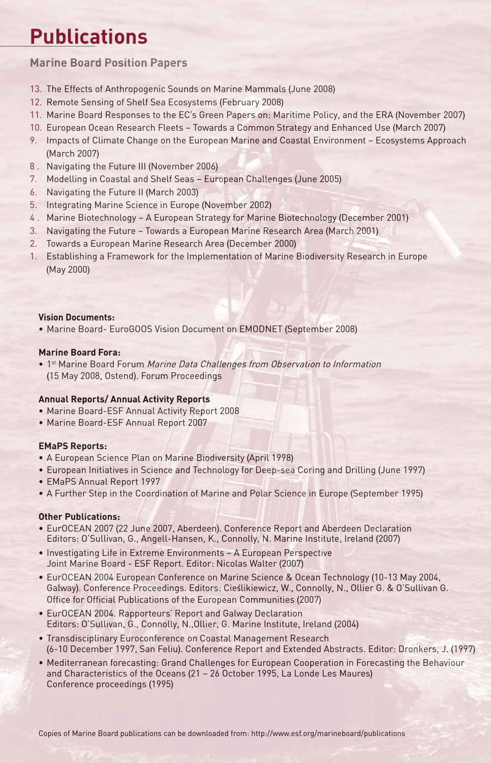## **Publications**

**Marine Board Position Papers**

- 13. The Effects of Anthropogenic Sounds on Marine Mammals (June 2008)
- 12. Remote Sensing of Shelf Sea Ecosystems (February 2008)
- 11. Marine Board Responses to the EC's Green Papers on: Maritime Policy, and the ERA (November 2007)
- 10. European Ocean Research Fleets Towards a Common Strategy and Enhanced Use (March 2007)
- 9. Impacts of Climate Change on the European Marine and Coastal Environment Ecosystems Approach (March 2007)
- 8 . Navigating the Future III (November 2006)
- 7. Modelling in Coastal and Shelf Seas European Challenges (June 2005)
- 6. Navigating the Future II (March 2003)
- 5. Integrating Marine Science in Europe (November 2002)
- 4 . Marine Biotechnology A European Strategy for Marine Biotechnology (December 2001)
- 3. Navigating the Future Towards a European Marine Research Area (March 2001)
- 2. Towards a European Marine Research Area (December 2000)
- 1. Establishing a Framework for the Implementation of Marine Biodiversity Research in Europe (May 2000)

#### **Vision Documents:**

• Marine Board- EuroGOOS Vision Document on EMODNET (September 2008)

#### **Marine Board Fora:**

• 1st Marine Board Forum Marine Data Challenges from Observation to Information (15 May 2008, Ostend). Forum Proceedings

#### **Annual Reports/ Annual Activity Reports**

- Marine Board-ESF Annual Activity Report 2008
- Marine Board-ESF Annual Report 2007

#### **EMaPS Reports:**

- A European Science Plan on Marine Biodiversity (April 1998)
- European Initiatives in Science and Technology for Deep-sea Coring and Drilling (June 1997)
- EMaPS Annual Report 1997
- A Further Step in the Coordination of Marine and Polar Science in Europe (September 1995)

#### **Other Publications:**

- EurOCEAN 2007 (22 June 2007, Aberdeen). Conference Report and Aberdeen Declaration Editors: O'Sullivan, G., Angell-Hansen, K., Connolly, N. Marine Institute, Ireland (2007)
- Investigating Life in Extreme Environments A European Perspective Joint Marine Board - ESF Report. Editor: Nicolas Walter (2007)
- EurOCEAN 2004 European Conference on Marine Science & Ocean Technology (10-13 May 2004, Galway). Conference Proceedings. Editors: Cieślikiewicz, W., Connolly, N., Ollier G. & O'Sullivan G. Office for Official Publications of the European Communities (2007)
- EurOCEAN 2004. Rapporteurs' Report and Galway Declaration Editors: O'Sullivan, G., Connolly, N.,Ollier, G. Marine Institute, Ireland (2004)
- Transdisciplinary Euroconference on Coastal Management Research (6-10 December 1997, San Feliu). Conference Report and Extended Abstracts. Editor: Dronkers, J. (1997)
- Mediterranean forecasting: Grand Challenges for European Cooperation in Forecasting the Behaviour and Characteristics of the Oceans (21 – 26 October 1995, La Londe Les Maures) Conference proceedings (1995)